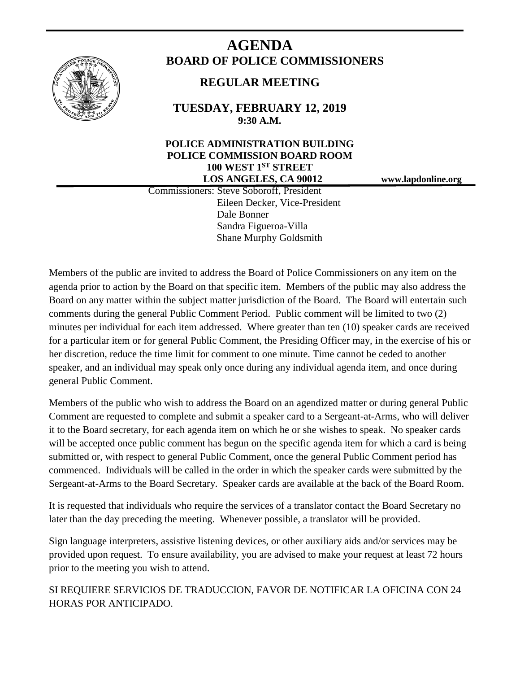

# **AGENDA BOARD OF POLICE COMMISSIONERS**

# **REGULAR MEETING**

**TUESDAY, FEBRUARY 12, 2019 9:30 A.M.**

# **POLICE ADMINISTRATION BUILDING POLICE COMMISSION BOARD ROOM 100 WEST 1ST STREET LOS ANGELES, CA 90012 www.lapdonline.org**

 Commissioners: Steve Soboroff, President Eileen Decker, Vice-President Dale Bonner Sandra Figueroa-Villa Shane Murphy Goldsmith

Members of the public are invited to address the Board of Police Commissioners on any item on the agenda prior to action by the Board on that specific item. Members of the public may also address the Board on any matter within the subject matter jurisdiction of the Board. The Board will entertain such comments during the general Public Comment Period. Public comment will be limited to two (2) minutes per individual for each item addressed. Where greater than ten (10) speaker cards are received for a particular item or for general Public Comment, the Presiding Officer may, in the exercise of his or her discretion, reduce the time limit for comment to one minute. Time cannot be ceded to another speaker, and an individual may speak only once during any individual agenda item, and once during general Public Comment.

Members of the public who wish to address the Board on an agendized matter or during general Public Comment are requested to complete and submit a speaker card to a Sergeant-at-Arms, who will deliver it to the Board secretary, for each agenda item on which he or she wishes to speak. No speaker cards will be accepted once public comment has begun on the specific agenda item for which a card is being submitted or, with respect to general Public Comment, once the general Public Comment period has commenced. Individuals will be called in the order in which the speaker cards were submitted by the Sergeant-at-Arms to the Board Secretary. Speaker cards are available at the back of the Board Room.

It is requested that individuals who require the services of a translator contact the Board Secretary no later than the day preceding the meeting. Whenever possible, a translator will be provided.

Sign language interpreters, assistive listening devices, or other auxiliary aids and/or services may be provided upon request. To ensure availability, you are advised to make your request at least 72 hours prior to the meeting you wish to attend.

SI REQUIERE SERVICIOS DE TRADUCCION, FAVOR DE NOTIFICAR LA OFICINA CON 24 HORAS POR ANTICIPADO.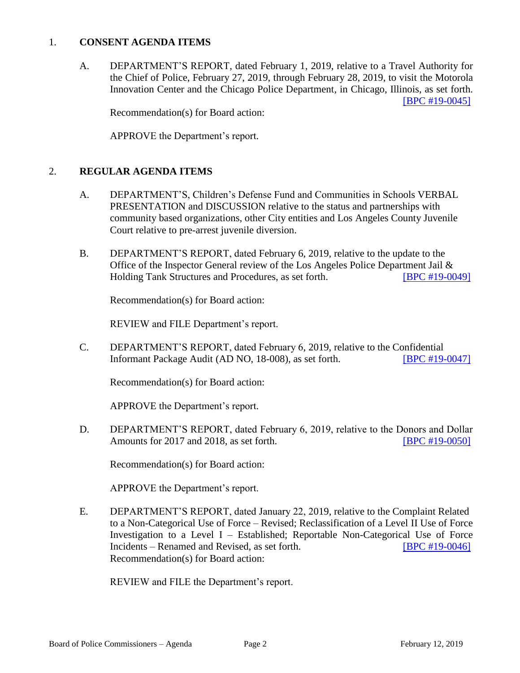# 1. **CONSENT AGENDA ITEMS**

A. DEPARTMENT'S REPORT, dated February 1, 2019, relative to a Travel Authority for the Chief of Police, February 27, 2019, through February 28, 2019, to visit the Motorola Innovation Center and the Chicago Police Department, in Chicago, Illinois, as set forth. [\[BPC #19-0045\]](http://www.lapdpolicecom.lacity.org/021219/BPC_19-0045.pdf)

Recommendation(s) for Board action:

APPROVE the Department's report.

# 2. **REGULAR AGENDA ITEMS**

- A. DEPARTMENT'S, Children's Defense Fund and Communities in Schools VERBAL PRESENTATION and DISCUSSION relative to the status and partnerships with community based organizations, other City entities and Los Angeles County Juvenile Court relative to pre-arrest juvenile diversion.
- B. DEPARTMENT'S REPORT, dated February 6, 2019, relative to the update to the Office of the Inspector General review of the Los Angeles Police Department Jail & Holding Tank Structures and Procedures, as set forth. [\[BPC #19-0049\]](http://www.lapdpolicecom.lacity.org/021219/BPC_19-0048.pdf)

Recommendation(s) for Board action:

REVIEW and FILE Department's report.

C. DEPARTMENT'S REPORT, dated February 6, 2019, relative to the Confidential Informant Package Audit (AD NO, 18-008), as set forth. **[\[BPC #19-0047\]](http://www.lapdpolicecom.lacity.org/021219/BPC_19-0049.pdf)** 

Recommendation(s) for Board action:

APPROVE the Department's report.

D. DEPARTMENT'S REPORT, dated February 6, 2019, relative to the Donors and Dollar Amounts for 2017 and 2018, as set forth. **[\[BPC #19-0050\]](http://www.lapdpolicecom.lacity.org/021219/BPC_19-0050.pdf)** 

Recommendation(s) for Board action:

APPROVE the Department's report.

E. DEPARTMENT'S REPORT, dated January 22, 2019, relative to the Complaint Related to a Non-Categorical Use of Force – Revised; Reclassification of a Level II Use of Force Investigation to a Level I – Established; Reportable Non-Categorical Use of Force Incidents – Renamed and Revised, as set forth. [\[BPC #19-0046\]](http://www.lapdpolicecom.lacity.org/021219/BPC_19-0046.pdf) Recommendation(s) for Board action:

REVIEW and FILE the Department's report.